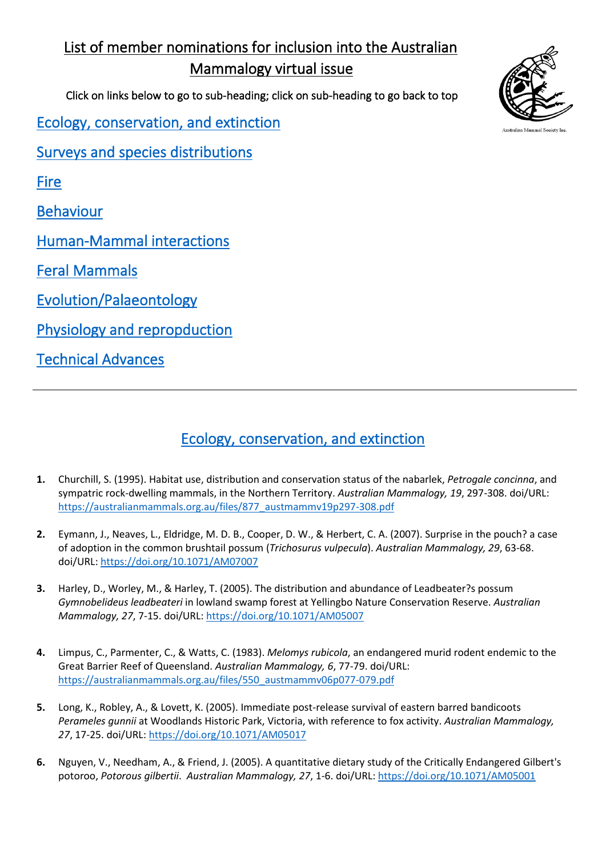# <span id="page-0-1"></span>List of member nominations for inclusion into the Australian Mammalogy virtual issue

Click on links below to go to sub-heading; click on sub-heading to go back to top

[Ecology, conservation, and extinction](#page-0-0) 

[Surveys and species distributions](#page-1-0) 

[Fire](#page-1-1) 

[Behaviour](#page-2-0) 

[Human-Mammal interactions](#page-2-1) 

[Feral Mammals](#page-2-2) 

[Evolution/Palaeontology](#page-2-3) 

[Physiology and repropduction](#page-3-0) 

[Technical Advances](#page-3-1) 



## [Ecology, conservation, and extinction](#page-0-1)

- <span id="page-0-0"></span>**1.** Churchill, S. (1995). Habitat use, distribution and conservation status of the nabarlek, *Petrogale concinna*, and sympatric rock-dwelling mammals, in the Northern Territory. *Australian Mammalogy, 19*, 297-308. doi/URL: [https://australianmammals.org.au/files/877\\_austmammv19p297-308.pdf](https://australianmammals.org.au/files/877_austmammv19p297-308.pdf)
- **2.** Eymann, J., Neaves, L., Eldridge, M. D. B., Cooper, D. W., & Herbert, C. A. (2007). Surprise in the pouch? a case of adoption in the common brushtail possum (*Trichosurus vulpecula*). *Australian Mammalogy, 29*, 63-68. doi/URL[: https://doi.org/10.1071/AM07007](https://doi.org/10.1071/AM07007)
- **3.** Harley, D., Worley, M., & Harley, T. (2005). The distribution and abundance of Leadbeater?s possum *Gymnobelideus leadbeateri* in lowland swamp forest at Yellingbo Nature Conservation Reserve. *Australian Mammalogy, 27*, 7-15. doi/URL[: https://doi.org/10.1071/AM05007](https://doi.org/10.1071/AM05007)
- **4.** Limpus, C., Parmenter, C., & Watts, C. (1983). *Melomys rubicola*, an endangered murid rodent endemic to the Great Barrier Reef of Queensland. *Australian Mammalogy, 6*, 77-79. doi/URL: [https://australianmammals.org.au/files/550\\_austmammv06p077-079.pdf](https://australianmammals.org.au/files/550_austmammv06p077-079.pdf)
- **5.** Long, K., Robley, A., & Lovett, K. (2005). Immediate post-release survival of eastern barred bandicoots *Perameles gunnii* at Woodlands Historic Park, Victoria, with reference to fox activity. *Australian Mammalogy, 27*, 17-25. doi/URL:<https://doi.org/10.1071/AM05017>
- **6.** Nguyen, V., Needham, A., & Friend, J. (2005). A quantitative dietary study of the Critically Endangered Gilbert's potoroo, *Potorous gilbertii*. *Australian Mammalogy, 27*, 1-6. doi/URL[: https://doi.org/10.1071/AM05001](https://doi.org/10.1071/AM05001)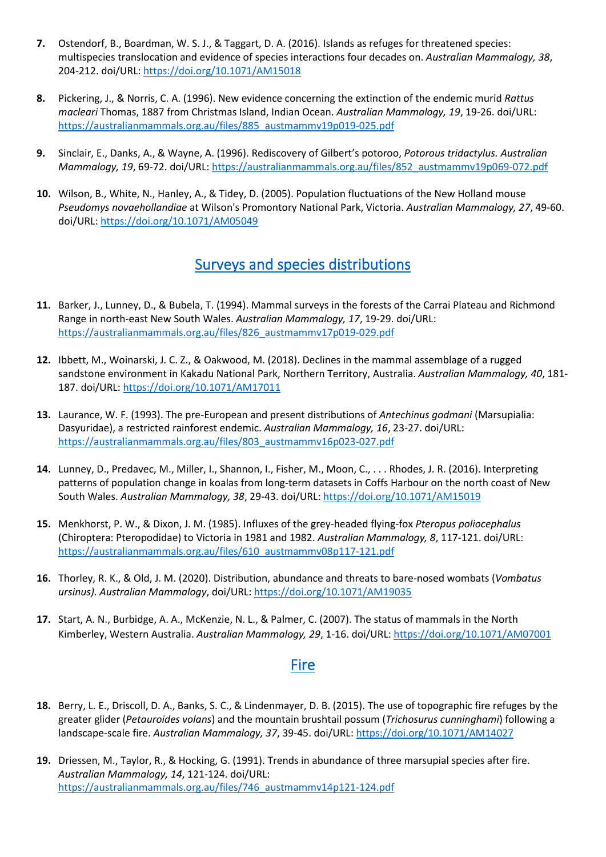- **7.** Ostendorf, B., Boardman, W. S. J., & Taggart, D. A. (2016). Islands as refuges for threatened species: multispecies translocation and evidence of species interactions four decades on. *Australian Mammalogy, 38*, 204-212. doi/URL:<https://doi.org/10.1071/AM15018>
- **8.** Pickering, J., & Norris, C. A. (1996). New evidence concerning the extinction of the endemic murid *Rattus macleari* Thomas, 1887 from Christmas Island, Indian Ocean. *Australian Mammalogy, 19*, 19-26. doi/URL: [https://australianmammals.org.au/files/885\\_austmammv19p019-025.pdf](https://australianmammals.org.au/files/885_austmammv19p019-025.pdf)
- **9.** Sinclair, E., Danks, A., & Wayne, A. (1996). Rediscovery of Gilbert's potoroo, *Potorous tridactylus. Australian Mammalogy, 19*, 69-72. doi/URL: [https://australianmammals.org.au/files/852\\_austmammv19p069-072.pdf](https://australianmammals.org.au/files/852_austmammv19p069-072.pdf)
- <span id="page-1-0"></span>**10.** Wilson, B., White, N., Hanley, A., & Tidey, D. (2005). Population fluctuations of the New Holland mouse *Pseudomys novaehollandiae* at Wilson's Promontory National Park, Victoria. *Australian Mammalogy, 27*, 49-60. doi/URL[: https://doi.org/10.1071/AM05049](https://doi.org/10.1071/AM05049)

#### [Surveys and species distributions](#page-0-1)

- **11.** Barker, J., Lunney, D., & Bubela, T. (1994). Mammal surveys in the forests of the Carrai Plateau and Richmond Range in north-east New South Wales. *Australian Mammalogy, 17*, 19-29. doi/URL: [https://australianmammals.org.au/files/826\\_austmammv17p019-029.pdf](https://australianmammals.org.au/files/826_austmammv17p019-029.pdf)
- **12.** Ibbett, M., Woinarski, J. C. Z., & Oakwood, M. (2018). Declines in the mammal assemblage of a rugged sandstone environment in Kakadu National Park, Northern Territory, Australia. *Australian Mammalogy, 40*, 181- 187. doi/URL[: https://doi.org/10.1071/AM17011](https://doi.org/10.1071/AM17011)
- **13.** Laurance, W. F. (1993). The pre-European and present distributions of *Antechinus godmani* (Marsupialia: Dasyuridae), a restricted rainforest endemic. *Australian Mammalogy, 16*, 23-27. doi/URL: [https://australianmammals.org.au/files/803\\_austmammv16p023-027.pdf](https://australianmammals.org.au/files/803_austmammv16p023-027.pdf)
- **14.** Lunney, D., Predavec, M., Miller, I., Shannon, I., Fisher, M., Moon, C., . . . Rhodes, J. R. (2016). Interpreting patterns of population change in koalas from long-term datasets in Coffs Harbour on the north coast of New South Wales. *Australian Mammalogy, 38*, 29-43. doi/URL[: https://doi.org/10.1071/AM15019](https://doi.org/10.1071/AM15019)
- **15.** Menkhorst, P. W., & Dixon, J. M. (1985). Influxes of the grey-headed flying-fox *Pteropus poliocephalus* (Chiroptera: Pteropodidae) to Victoria in 1981 and 1982. *Australian Mammalogy, 8*, 117-121. doi/URL: [https://australianmammals.org.au/files/610\\_austmammv08p117-121.pdf](https://australianmammals.org.au/files/610_austmammv08p117-121.pdf)
- **16.** Thorley, R. K., & Old, J. M. (2020). Distribution, abundance and threats to bare-nosed wombats (*Vombatus ursinus). Australian Mammalogy*, doi/URL[: https://doi.org/10.1071/AM19035](https://doi.org/10.1071/AM19035)
- <span id="page-1-1"></span>**17.** Start, A. N., Burbidge, A. A., McKenzie, N. L., & Palmer, C. (2007). The status of mammals in the North Kimberley, Western Australia. *Australian Mammalogy, 29*, 1-16. doi/URL:<https://doi.org/10.1071/AM07001>

#### **Fire**

- **18.** Berry, L. E., Driscoll, D. A., Banks, S. C., & Lindenmayer, D. B. (2015). The use of topographic fire refuges by the greater glider (*Petauroides volans*) and the mountain brushtail possum (*Trichosurus cunninghami*) following a landscape-scale fire. *Australian Mammalogy, 37*, 39-45. doi/URL:<https://doi.org/10.1071/AM14027>
- **19.** Driessen, M., Taylor, R., & Hocking, G. (1991). Trends in abundance of three marsupial species after fire. *Australian Mammalogy, 14*, 121-124. doi/URL: [https://australianmammals.org.au/files/746\\_austmammv14p121-124.pdf](https://australianmammals.org.au/files/746_austmammv14p121-124.pdf)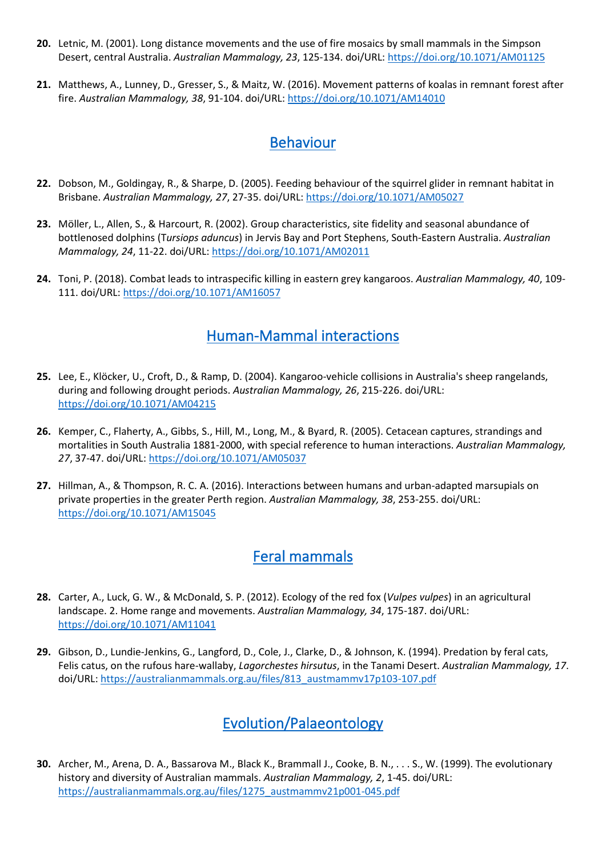- **20.** Letnic, M. (2001). Long distance movements and the use of fire mosaics by small mammals in the Simpson Desert, central Australia. *Australian Mammalogy, 23*, 125-134. doi/URL:<https://doi.org/10.1071/AM01125>
- **21.** Matthews, A., Lunney, D., Gresser, S., & Maitz, W. (2016). Movement patterns of koalas in remnant forest after fire. *Australian Mammalogy, 38*, 91-104. doi/URL[: https://doi.org/10.1071/AM14010](https://doi.org/10.1071/AM14010)

### [Behaviour](#page-0-1)

- <span id="page-2-0"></span>**22.** Dobson, M., Goldingay, R., & Sharpe, D. (2005). Feeding behaviour of the squirrel glider in remnant habitat in Brisbane. *Australian Mammalogy, 27*, 27-35. doi/URL[: https://doi.org/10.1071/AM05027](https://doi.org/10.1071/AM05027)
- **23.** Möller, L., Allen, S., & Harcourt, R. (2002). Group characteristics, site fidelity and seasonal abundance of bottlenosed dolphins (T*ursiops aduncus*) in Jervis Bay and Port Stephens, South-Eastern Australia. *Australian Mammalogy, 24*, 11-22. doi/URL:<https://doi.org/10.1071/AM02011>
- <span id="page-2-1"></span>**24.** Toni, P. (2018). Combat leads to intraspecific killing in eastern grey kangaroos. *Australian Mammalogy, 40*, 109- 111. doi/URL[: https://doi.org/10.1071/AM16057](https://doi.org/10.1071/AM16057)

### [Human-Mammal interactions](#page-0-1)

- **25.** Lee, E., Klöcker, U., Croft, D., & Ramp, D. (2004). Kangaroo-vehicle collisions in Australia's sheep rangelands, during and following drought periods. *Australian Mammalogy, 26*, 215-226. doi/URL: <https://doi.org/10.1071/AM04215>
- **26.** Kemper, C., Flaherty, A., Gibbs, S., Hill, M., Long, M., & Byard, R. (2005). Cetacean captures, strandings and mortalities in South Australia 1881-2000, with special reference to human interactions. *Australian Mammalogy, 27*, 37-47. doi/URL:<https://doi.org/10.1071/AM05037>
- <span id="page-2-2"></span>**27.** Hillman, A., & Thompson, R. C. A. (2016). Interactions between humans and urban-adapted marsupials on private properties in the greater Perth region. *Australian Mammalogy, 38*, 253-255. doi/URL: <https://doi.org/10.1071/AM15045>

### [Feral mammals](#page-0-1)

- **28.** Carter, A., Luck, G. W., & McDonald, S. P. (2012). Ecology of the red fox (*Vulpes vulpes*) in an agricultural landscape. 2. Home range and movements. *Australian Mammalogy, 34*, 175-187. doi/URL: <https://doi.org/10.1071/AM11041>
- **29.** Gibson, D., Lundie-Jenkins, G., Langford, D., Cole, J., Clarke, D., & Johnson, K. (1994). Predation by feral cats, Felis catus, on the rufous hare-wallaby, *Lagorchestes hirsutus*, in the Tanami Desert. *Australian Mammalogy, 17*. doi/URL[: https://australianmammals.org.au/files/813\\_austmammv17p103-107.pdf](https://australianmammals.org.au/files/813_austmammv17p103-107.pdf)

## [Evolution/Palaeontology](#page-0-1)

<span id="page-2-3"></span>**30.** Archer, M., Arena, D. A., Bassarova M., Black K., Brammall J., Cooke, B. N., . . . S., W. (1999). The evolutionary history and diversity of Australian mammals. *Australian Mammalogy, 2*, 1-45. doi/URL: [https://australianmammals.org.au/files/1275\\_austmammv21p001-045.pdf](https://australianmammals.org.au/files/1275_austmammv21p001-045.pdf)